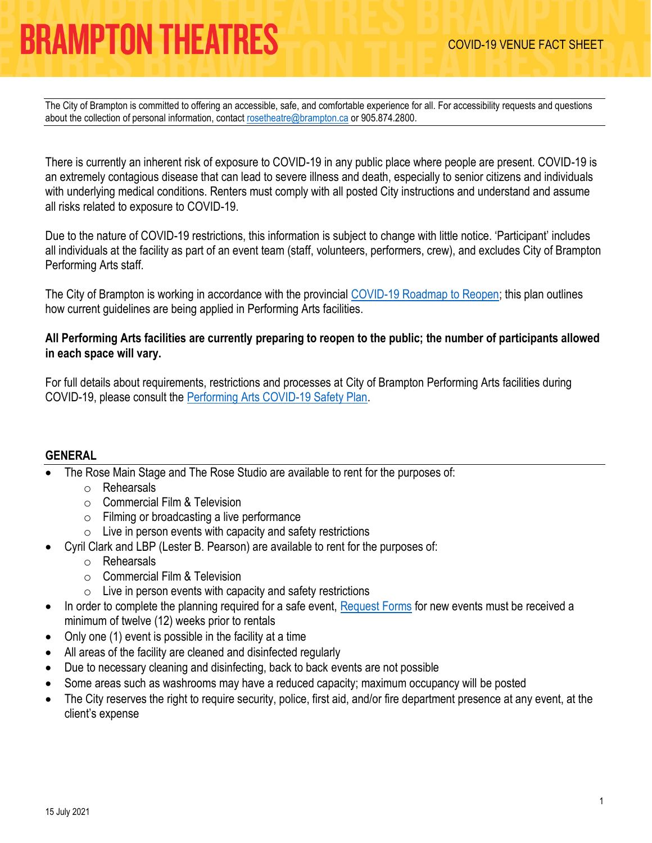The City of Brampton is committed to offering an accessible, safe, and comfortable experience for all. For accessibility requests and questions about the collection of personal information, contact [rosetheatre@brampton.ca](mailto:rosetheatre@brampton.ca) or 905.874.2800.

There is currently an inherent risk of exposure to COVID-19 in any public place where people are present. COVID-19 is an extremely contagious disease that can lead to severe illness and death, especially to senior citizens and individuals with underlying medical conditions. Renters must comply with all posted City instructions and understand and assume all risks related to exposure to COVID-19.

Due to the nature of COVID-19 restrictions, this information is subject to change with little notice. 'Participant' includes all individuals at the facility as part of an event team (staff, volunteers, performers, crew), and excludes City of Brampton Performing Arts staff.

The City of Brampton is working in accordance with the provincial [COVID-19 Roadmap to Reopen;](https://www.ontario.ca/page/covid-19-response-framework-keeping-ontario-safe-and-open) this plan outlines how current guidelines are being applied in Performing Arts facilities.

### **All Performing Arts facilities are currently preparing to reopen to the public; the number of participants allowed in each space will vary.**

For full details about requirements, restrictions and processes at City of Brampton Performing Arts facilities during COVID-19, please consult the [Performing Arts COVID-19 Safety Plan.](https://tickets.brampton.ca/Online/default.asp?BOparam::WScontent::loadArticle::permalink=RentTheRose&BOparam::WScontent::loadArticle::context_id=)

### **GENERAL**

- The Rose Main Stage and The Rose Studio are available to rent for the purposes of:
	- o Rehearsals
	- o Commercial Film & Television
	- o Filming or broadcasting a live performance
	- $\circ$  Live in person events with capacity and safety restrictions
- Cyril Clark and LBP (Lester B. Pearson) are available to rent for the purposes of:
	- o Rehearsals
	- o Commercial Film & Television
	- $\circ$  Live in person events with capacity and safety restrictions
- In order to complete the planning required for a safe event, [Request Forms](https://tickets.brampton.ca/content/Files/Marketing/1_PA_RentalRequest_Form.pdf) for new events must be received a minimum of twelve (12) weeks prior to rentals
- Only one  $(1)$  event is possible in the facility at a time
- All areas of the facility are cleaned and disinfected regularly
- Due to necessary cleaning and disinfecting, back to back events are not possible
- Some areas such as washrooms may have a reduced capacity; maximum occupancy will be posted
- The City reserves the right to require security, police, first aid, and/or fire department presence at any event, at the client's expense